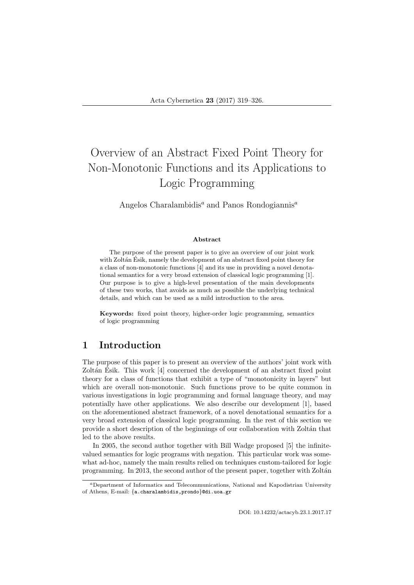# Overview of an Abstract Fixed Point Theory for Non-Monotonic Functions and its Applications to Logic Programming

Angelos Charalambidis<sup>a</sup> and Panos Rondogiannis<sup>a</sup>

#### Abstract

The purpose of the present paper is to give an overview of our joint work with Zoltán Ésik, namely the development of an abstract fixed point theory for a class of non-monotonic functions [4] and its use in providing a novel denotational semantics for a very broad extension of classical logic programming [1]. Our purpose is to give a high-level presentation of the main developments of these two works, that avoids as much as possible the underlying technical details, and which can be used as a mild introduction to the area.

Keywords: fixed point theory, higher-order logic programming, semantics of logic programming

# 1 Introduction

The purpose of this paper is to present an overview of the authors' joint work with Zoltán Ésik. This work [4] concerned the development of an abstract fixed point theory for a class of functions that exhibit a type of "monotonicity in layers" but which are overall non-monotonic. Such functions prove to be quite common in various investigations in logic programming and formal language theory, and may potentially have other applications. We also describe our development [1], based on the aforementioned abstract framework, of a novel denotational semantics for a very broad extension of classical logic programming. In the rest of this section we provide a short description of the beginnings of our collaboration with Zolt´an that led to the above results.

In 2005, the second author together with Bill Wadge proposed [5] the infinitevalued semantics for logic programs with negation. This particular work was somewhat ad-hoc, namely the main results relied on techniques custom-tailored for logic programming. In 2013, the second author of the present paper, together with Zoltán

DOI: 10.14232/actacyb.23.1.2017.17

<sup>a</sup>Department of Informatics and Telecommunications, National and Kapodistrian University of Athens, E-mail: {a.charalambidis,prondo}@di.uoa.gr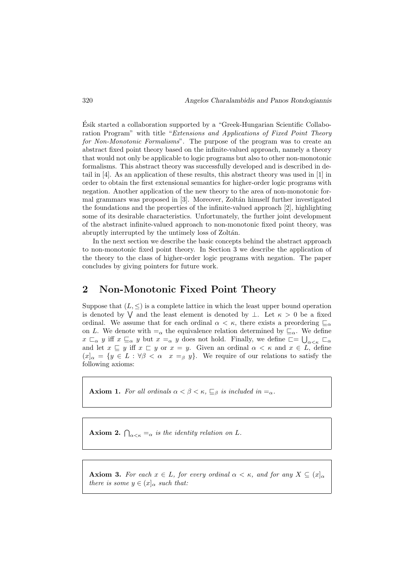Esik started a collaboration supported by a "Greek-Hungarian Scientific Collabo- ´ ration Program" with title "Extensions and Applications of Fixed Point Theory for Non-Monotonic Formalisms". The purpose of the program was to create an abstract fixed point theory based on the infinite-valued approach, namely a theory that would not only be applicable to logic programs but also to other non-monotonic formalisms. This abstract theory was successfully developed and is described in detail in [4]. As an application of these results, this abstract theory was used in [1] in order to obtain the first extensional semantics for higher-order logic programs with negation. Another application of the new theory to the area of non-monotonic formal grammars was proposed in [3]. Moreover, Zoltán himself further investigated the foundations and the properties of the infinite-valued approach [2], highlighting some of its desirable characteristics. Unfortunately, the further joint development of the abstract infinite-valued approach to non-monotonic fixed point theory, was abruptly interrupted by the untimely loss of Zoltán.

In the next section we describe the basic concepts behind the abstract approach to non-monotonic fixed point theory. In Section 3 we describe the application of the theory to the class of higher-order logic programs with negation. The paper concludes by giving pointers for future work.

### 2 Non-Monotonic Fixed Point Theory

Suppose that  $(L, \leq)$  is a complete lattice in which the least upper bound operation is denoted by  $\bigvee$  and the least element is denoted by  $\bot$ . Let  $\kappa > 0$  be a fixed ordinal. We assume that for each ordinal  $\alpha < \kappa$ , there exists a preordering  $\mathcal{L}_{\alpha}$ on L. We denote with  $\equiv_{\alpha}$  the equivalence relation determined by  $\sqsubseteq_{\alpha}$ . We define  $x \sqsubset_{\alpha} y$  iff  $x \sqsubseteq_{\alpha} y$  but  $x =_{\alpha} y$  does not hold. Finally, we define  $\square = \bigcup_{\alpha<\kappa} \sqsubset_{\alpha}$ and let  $x \subseteq y$  iff  $x \subseteq y$  or  $x = y$ . Given an ordinal  $\alpha < \kappa$  and  $x \in L$ , define  $(x)_{\alpha} = \{y \in L : \forall \beta < \alpha \mid x =_{\beta} y\}.$  We require of our relations to satisfy the following axioms:

**Axiom 1.** For all ordinals  $\alpha < \beta < \kappa$ ,  $\sqsubseteq_{\beta}$  is included in  $=\alpha$ .

**Axiom 2.**  $\bigcap_{\alpha<\kappa}=\alpha$  is the identity relation on L.

**Axiom 3.** For each  $x \in L$ , for every ordinal  $\alpha < \kappa$ , and for any  $X \subseteq (x]_{\alpha}$ there is some  $y \in (x]_{\alpha}$  such that: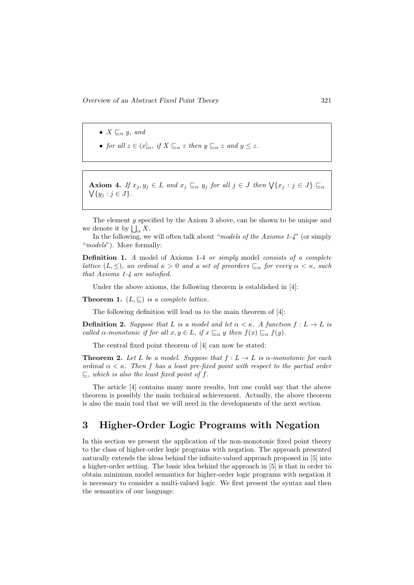- $X \sqsubseteq_{\alpha} y$ , and
- for all  $z \in (x]_{\alpha}$ , if  $X \sqsubseteq_{\alpha} z$  then  $y \sqsubseteq_{\alpha} z$  and  $y \leq z$ .

**Axiom 4.** If  $x_j, y_j \in L$  and  $x_j \sqsubseteq_{\alpha} y_j$  for all  $j \in J$  then  $\forall \{x_j : j \in J\} \sqsubseteq_{\alpha}$  $\bigvee \{y_j : j \in J\}.$ 

The element y specified by the Axiom 3 above, can be shown to be unique and we denote it by  $\bigsqcup_{\alpha} X$ .

In the following, we will often talk about "models of the Axioms  $1-\frac{1}{4}$ " (or simply "*models*"). More formally:

Definition 1. A model of Axioms 1-4 or simply model consists of a complete lattice  $(L, \leq)$ , an ordinal  $\kappa > 0$  and a set of preorders  $\subseteq_{\alpha}$  for every  $\alpha < \kappa$ , such that Axioms 1-4 are satisfied.

Under the above axioms, the following theorem is established in [4]:

**Theorem 1.**  $(L, \sqsubseteq)$  is a complete lattice.

The following definition will lead us to the main theorem of [4]:

**Definition 2.** Suppose that L is a model and let  $\alpha < \kappa$ . A function  $f: L \to L$  is called  $\alpha$ -monotonic if for all  $x, y \in L$ , if  $x \sqsubseteq_{\alpha} y$  then  $f(x) \sqsubseteq_{\alpha} f(y)$ .

The central fixed point theorem of [4] can now be stated:

**Theorem 2.** Let L be a model. Suppose that  $f: L \to L$  is a-monotonic for each ordinal  $\alpha < \kappa$ . Then f has a least pre-fixed point with respect to the partial order  $\sqsubseteq$ , which is also the least fixed point of f.

The article [4] contains many more results, but one could say that the above theorem is possibly the main technical achievement. Actually, the above theorem is also the main tool that we will need in the developments of the next section.

## 3 Higher-Order Logic Programs with Negation

In this section we present the application of the non-monotonic fixed point theory to the class of higher-order logic programs with negation. The approach presented naturally extends the ideas behind the infinite-valued approach proposed in [5] into a higher-order setting. The basic idea behind the approach in [5] is that in order to obtain minimum model semantics for higher-order logic programs with negation it is necessary to consider a multi-valued logic. We first present the syntax and then the semantics of our language.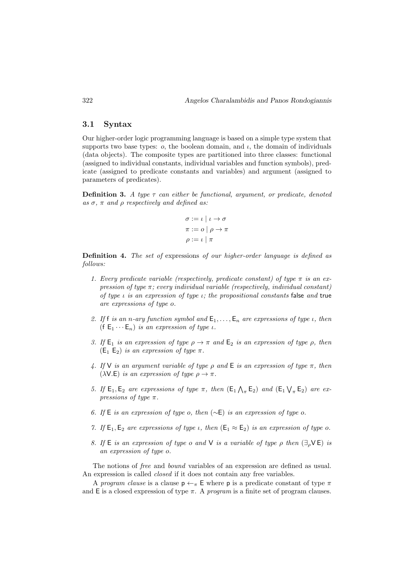#### 3.1 Syntax

Our higher-order logic programming language is based on a simple type system that supports two base types:  $o$ , the boolean domain, and  $i$ , the domain of individuals (data objects). The composite types are partitioned into three classes: functional (assigned to individual constants, individual variables and function symbols), predicate (assigned to predicate constants and variables) and argument (assigned to parameters of predicates).

**Definition 3.** A type  $\tau$  can either be functional, argument, or predicate, denoted as  $\sigma$ ,  $\pi$  and  $\rho$  respectively and defined as:

$$
\sigma := \iota \mid \iota \to \sigma
$$

$$
\pi := \iota \mid \rho \to \pi
$$

$$
\rho := \iota \mid \pi
$$

Definition 4. The set of expressions of our higher-order language is defined as follows:

- 1. Every predicate variable (respectively, predicate constant) of type  $\pi$  is an expression of type  $\pi$ ; every individual variable (respectively, individual constant) of type  $\iota$  is an expression of type  $\iota$ ; the propositional constants false and true are expressions of type o.
- 2. If f is an n-ary function symbol and  $E_1, \ldots, E_n$  are expressions of type  $\iota$ , then (f  $E_1 \cdots E_n$ ) is an expression of type *ι*.
- 3. If  $E_1$  is an expression of type  $\rho \to \pi$  and  $E_2$  is an expression of type  $\rho$ , then  $(E_1 E_2)$  is an expression of type  $\pi$ .
- 4. If V is an argument variable of type  $\rho$  and  $\mathsf E$  is an expression of type  $\pi$ , then ( $\lambda$ V.E) is an expression of type  $\rho \rightarrow \pi$ .
- 5. If  $E_1, E_2$  are expressions of type  $\pi$ , then  $(E_1 \bigwedge_{\pi} E_2)$  and  $(E_1 \bigvee_{\pi} E_2)$  are expressions of type  $\pi$ .
- 6. If E is an expression of type o, then  $(\sim$ E) is an expression of type o.
- 7. If  $E_1, E_2$  are expressions of type *ι*, then  $(E_1 \approx E_2)$  is an expression of type *o*.
- 8. If E is an expression of type o and V is a variable of type  $\rho$  then  $(\exists_{\rho} \vee \mathsf{E})$  is an expression of type o.

The notions of free and bound variables of an expression are defined as usual. An expression is called *closed* if it does not contain any free variables.

A program clause is a clause  $p \leftarrow \pi$  E where p is a predicate constant of type  $\pi$ and E is a closed expression of type  $\pi$ . A *program* is a finite set of program clauses.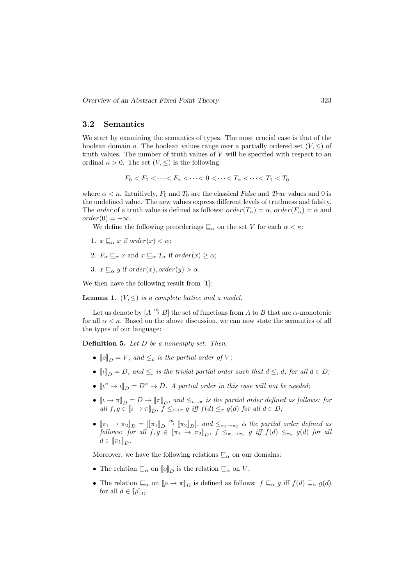#### 3.2 Semantics

We start by examining the semantics of types. The most crucial case is that of the boolean domain o. The boolean values range over a partially ordered set  $(V, \leq)$  of truth values. The number of truth values of  $V$  will be specified with respect to an ordinal  $\kappa > 0$ . The set  $(V, \leq)$  is the following:

$$
F_0 < F_1 < \cdots < F_\alpha < \cdots < 0 < \cdots < T_\alpha < \cdots < T_1 < T_0
$$

where  $\alpha < \kappa$ . Intuitively,  $F_0$  and  $T_0$  are the classical False and True values and 0 is the undefined value. The new values express different levels of truthness and falsity. The order of a truth value is defined as follows:  $order(T_\alpha) = \alpha$ ,  $order(F_\alpha) = \alpha$  and  $order(0) = +\infty.$ 

We define the following preorderings  $\sqsubseteq_{\alpha}$  on the set V for each  $\alpha < \kappa$ :

- 1.  $x \sqsubseteq_{\alpha} x$  if order(x) <  $\alpha$ ;
- 2.  $F_{\alpha} \sqsubseteq_{\alpha} x$  and  $x \sqsubseteq_{\alpha} T_{\alpha}$  if order(x)  $\geq \alpha$ ;
- 3.  $x \sqsubseteq_{\alpha} y$  if  $order(x), order(y) > \alpha$ .

We then have the following result from [1]:

**Lemma 1.**  $(V, \leq)$  is a complete lattice and a model.

Let us denote by  $[A \stackrel{m}{\rightarrow} B]$  the set of functions from A to B that are  $\alpha$ -monotonic for all  $\alpha < \kappa$ . Based on the above discussion, we can now state the semantics of all the types of our language:

**Definition 5.** Let  $D$  be a nonempty set. Then:

- $\llbracket o \rrbracket_D = V$ , and  $\leq_o$  is the partial order of V;
- $\llbracket \iota \rrbracket_D = D$ , and  $\leq_{\iota}$  is the trivial partial order such that  $d \leq_{\iota} d$ , for all  $d \in D$ ;
- $\llbracket \iota^n \to \iota \rrbracket_D = D^n \to D$ . A partial order in this case will not be needed;
- $[\![\iota \to \pi]\!]_D = D \to [\![\pi]\!]_D$ , and  $\leq_{\iota \to \pi}$  is the partial order defined as follows: for all  $f, g \in [\![\iota \to \pi]\!]_D$ ,  $f \leq_{\iota \to \pi} g$  iff  $f(d) \leq_{\pi} g(d)$  for all  $d \in D$ ;
- $[\![\pi_1 \to \pi_2]\!]_D = [[\![\pi_1]\!]_D \stackrel{m}{\to} [\![\pi_2]\!]_D$ , and  $\leq_{\pi_1 \to \pi_2}$  is the partial order defined as follows: for all  $f, g \in [\![ \pi_1 \to \pi_2 ]\!]_D$ ,  $f \leq_{\pi_1 \to \pi_2} g$  iff  $f(d) \leq_{\pi_2} g(d)$  for all  $d \in [\![\pi_1]\!]_D.$

Moreover, we have the following relations  $\sqsubseteq_{\alpha}$  on our domains:

- The relation  $\mathcal{L}_{\alpha}$  on  $\llbracket o \rrbracket_D$  is the relation  $\mathcal{L}_{\alpha}$  on V.
- The relation  $\sqsubseteq_{\alpha}$  on  $[\![\rho \to \pi]\!]_D$  is defined as follows:  $f \sqsubseteq_{\alpha} g$  iff  $f(d) \sqsubseteq_{\alpha} g(d)$ for all  $d \in [\![\rho]\!]_D$ .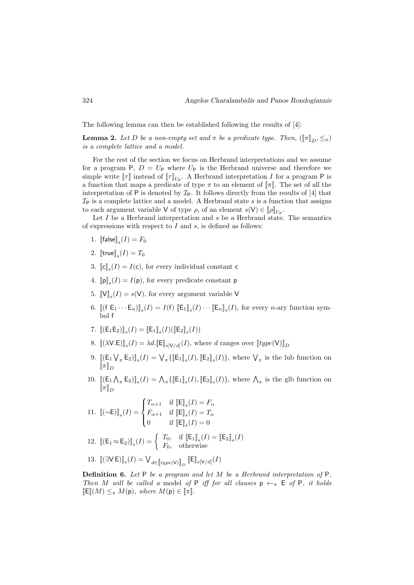The following lemma can then be established following the results of [4]:

**Lemma 2.** Let D be a non-empty set and  $\pi$  be a predicate type. Then,  $(\llbracket \pi \rrbracket_D, \leq_{\pi})$ is a complete lattice and a model.

For the rest of the section we focus on Herbrand interpretations and we assume for a program P,  $D = U_P$  where  $U_P$  is the Herbrand universe and therefore we simple write  $[\![\tau]\!]$  instead of  $[\![\tau]\!]_{U_P}$ . A Herbrand interpretation I for a program P is a function that maps a predicate of type  $\pi$  to an element of  $\llbracket \pi \rrbracket$ . The set of all the interpretation of  $P$  is denoted by  $\mathcal{I}_P$ . It follows directly from the results of [4] that  $\mathcal{I}_P$  is a complete lattice and a model. A Herbrand state s is a function that assigns to each argument variable V of type  $\rho$ , of an element  $s(V) \in [\![\rho]\!]_{U_{\sf P}}$ .

Let  $I$  be a Herbrand interpretation and  $s$  be a Herbrand state. The semantics of expressions with respect to  $I$  and  $s$ , is defined as follows:

- 1. [ $\left[\text{false}\right]_s(I) = F_0$
- 2.  $[\mathsf{true}]_s(I) = T_0$
- 3.  $\llbracket \mathbf{c} \rrbracket_s(I) = I(\mathbf{c})$ , for every individual constant c
- 4.  $[\![\mathbf{p}]\!]_s(I) = I(\mathbf{p})$ , for every predicate constant  $\mathbf{p}$
- 5.  $\llbracket \mathsf{V} \rrbracket_s(I) = s(\mathsf{V})$ , for every argument variable V
- 6.  $[(\mathbf{f} \mathbf{E}_1 \cdots \mathbf{E}_n)]_s(I) = I(\mathbf{f}) [\mathbf{E}_1]_s(I) \cdots [\mathbf{E}_n]_s(I)$ , for every *n*-ary function symbol f
- 7.  $[(E_1E_2)]_s(I) = [E_1]_s(I)([E_2]_s(I))$
- 8.  $[(\lambda V.E)]_s(I) = \lambda d. [\mathbb{E}]_{s[V/d]}(I)$ , where d ranges over  $[type(V)]_D$
- 9.  $[(\mathsf{E}_1 \bigvee_{\pi} \mathsf{E}_2)]_s(I) = \bigvee_{\pi} \{ [\![\mathsf{E}_1]\!]_s(I), [\![\mathsf{E}_2]\!]_s(I) \}$ , where  $\bigvee_{\pi}$  is the lub function on  $\lbrack\! \lbrack\pi\rbrack\! \rbrack_D$
- 10.  $[(\mathsf{E}_1 \bigwedge_{\pi} \mathsf{E}_2)]_s(I) = \bigwedge_{\pi} \{ [\mathsf{E}_1]_s(I), [\mathsf{E}_2]_s(I) \}$ , where  $\bigwedge_{\pi}$  is the glb function on  $\lbrack\! \lbrack \pi \rbrack\! \rbrack_D$

11. 
$$
\llbracket (\sim\!\mathsf{E}) \rrbracket_s(I) = \begin{cases} T_{\alpha+1} & \text{if } \llbracket \mathsf{E} \rrbracket_s(I) = F_\alpha \\ F_{\alpha+1} & \text{if } \llbracket \mathsf{E} \rrbracket_s(I) = T_\alpha \\ 0 & \text{if } \llbracket \mathsf{E} \rrbracket_s(I) = 0 \end{cases}
$$

12. 
$$
\llbracket (\mathsf{E}_1 \approx \mathsf{E}_2) \rrbracket_s(I) = \begin{cases} T_0, & \text{if } \llbracket \mathsf{E}_1 \rrbracket_s(I) = \llbracket \mathsf{E}_2 \rrbracket_s(I) \\ F_0, & \text{otherwise} \end{cases}
$$

13. 
$$
\llbracket (\exists \mathsf{V}\, \mathsf{E}) \rrbracket_s(I) = \bigvee_{d \in \llbracket type(\mathsf{V}) \rrbracket_D} \llbracket \mathsf{E} \rrbracket_{s[\mathsf{V}/d]}(I)
$$

Definition 6. Let P be a program and let M be a Herbrand interpretation of P. Then M will be called a model of P iff for all clauses  $p \leftarrow \pi$  E of P, it holds  $\mathbb{E}[(M) \leq_{\pi} M(\mathsf{p}), \text{ where } M(\mathsf{p}) \in \llbracket \pi \rrbracket.$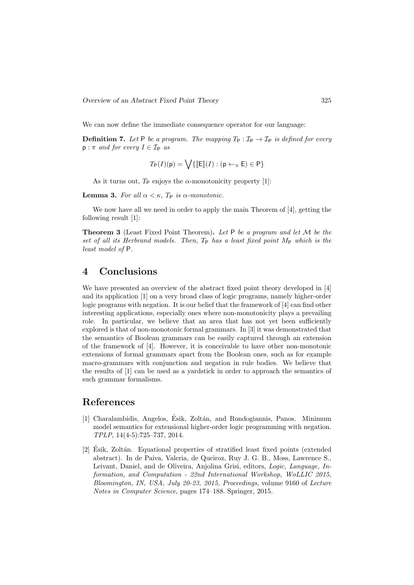We can now define the immediate consequence operator for our language:

**Definition 7.** Let P be a program. The mapping  $T_P : \mathcal{I}_P \to \mathcal{I}_P$  is defined for every  $p : \pi$  and for every  $I \in \mathcal{I}_P$  as

$$
T_{\mathsf{P}}(I)(\mathsf{p}) = \bigvee \{ \llbracket \mathsf{E} \rrbracket(I) : (\mathsf{p} \leftarrow_{\pi} \mathsf{E}) \in \mathsf{P} \}
$$

As it turns out,  $T_P$  enjoys the  $\alpha$ -monotonicity property [1]:

Lemma 3. For all  $\alpha < \kappa$ . T<sub>P</sub> is  $\alpha$ -monotonic.

We now have all we need in order to apply the main Theorem of [4], getting the following result [1]:

**Theorem 3** (Least Fixed Point Theorem). Let  $P$  be a program and let  $M$  be the set of all its Herbrand models. Then,  $T_P$  has a least fixed point  $M_P$  which is the least model of P.

### 4 Conclusions

We have presented an overview of the abstract fixed point theory developed in [4] and its application [1] on a very broad class of logic programs, namely higher-order logic programs with negation. It is our belief that the framework of [4] can find other interesting applications, especially ones where non-monotonicity plays a prevailing role. In particular, we believe that an area that has not yet been sufficiently explored is that of non-monotonic formal grammars. In [3] it was demonstrated that the semantics of Boolean grammars can be easily captured through an extension of the framework of [4]. However, it is conceivable to have other non-monotonic extensions of formal grammars apart from the Boolean ones, such as for example macro-grammars with conjunction and negation in rule bodies. We believe that the results of [1] can be used as a yardstick in order to approach the semantics of such grammar formalisms.

### References

- [1] Charalambidis, Angelos, Esik, Zoltán, and Rondogiannis, Panos. Minimum model semantics for extensional higher-order logic programming with negation. TPLP, 14(4-5):725–737, 2014.
- [2] Esik, Zoltán. Equational properties of stratified least fixed points (extended abstract). In de Paiva, Valeria, de Queiroz, Ruy J. G. B., Moss, Lawrence S., Leivant, Daniel, and de Oliveira, Anjolina Grisi, editors, Logic, Language, Information, and Computation - 22nd International Workshop, WoLLIC 2015, Bloomington, IN, USA, July 20-23, 2015, Proceedings, volume 9160 of Lecture Notes in Computer Science, pages 174–188. Springer, 2015.